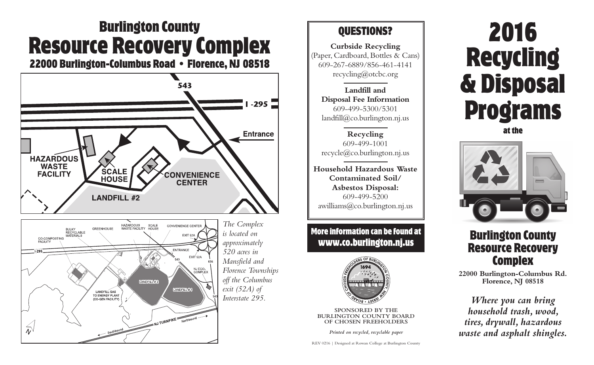# **Burlington County Resource Recovery Complex**

**22000 Burlington-Columbus Road • Florence, NJ 08518**





*The Complex is located on approximately 520 acres in Mansfield and Florence Townships off the Columbus exit (52A) of Interstate 295.*

### **QUESTIONS?**

**Curbside Recycling** (Paper, Cardboard, Bottles & Cans) 609-267-6889/856-461-4141 recycling@otcbc.org

**Landfill and Disposal Fee Information** 609-499-5300/5301  $landfill@co.burlington.nj.us$ 

**Recycling** 609-499-1001 recycle@co.burlington.nj.us

**Household Hazardous Waste Contaminated Soil/ Asbestos Disposal:** 609-499-5200 awilliams@co.burlington.nj.us

**More information can be found at www.co.burlington.nj.us**



**SPONSORED BY THE BURLINGTON COUNTY BOARD OF CHOSEN FREEHOLDERS**

*Printed on recycled, recyclable paper*

REV 0216 | Designed at Rowan College at Burlington County

# **2016 Recycling & Disposal Programs**

**at the**



## **Burlington County Resource Recovery Complex**

**22000 Burlington-Columbus Rd. Florence, NJ 08518**

*Where you can bring household trash, wood, tires, drywall, hazardous waste and asphalt shingles.*